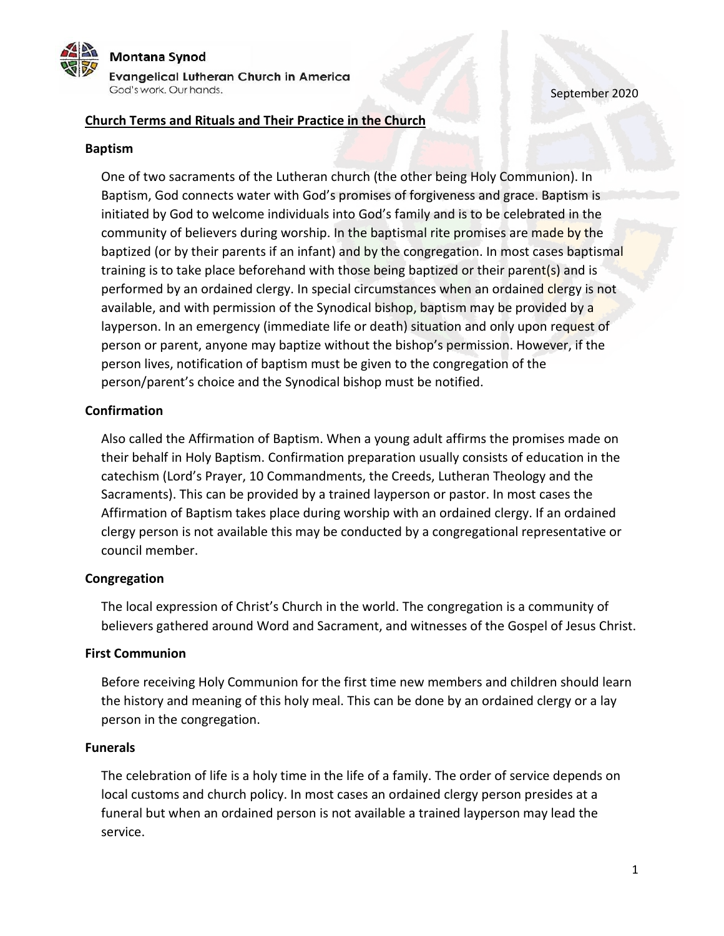# Montana Synod Evangelical Lutheran Church in America God's work. Our hands.

September 2020

## **Church Terms and Rituals and Their Practice in the Church**

### **Baptism**

One of two sacraments of the Lutheran church (the other being Holy Communion). In Baptism, God connects water with God's promises of forgiveness and grace. Baptism is initiated by God to welcome individuals into God's family and is to be celebrated in the community of believers during worship. In the baptismal rite promises are made by the baptized (or by their parents if an infant) and by the congregation. In most cases baptismal training is to take place beforehand with those being baptized or their parent(s) and is performed by an ordained clergy. In special circumstances when an ordained clergy is not available, and with permission of the Synodical bishop, baptism may be provided by a layperson. In an emergency (immediate life or death) situation and only upon request of person or parent, anyone may baptize without the bishop's permission. However, if the person lives, notification of baptism must be given to the congregation of the person/parent's choice and the Synodical bishop must be notified.

### **Confirmation**

Also called the Affirmation of Baptism. When a young adult affirms the promises made on their behalf in Holy Baptism. Confirmation preparation usually consists of education in the catechism (Lord's Prayer, 10 Commandments, the Creeds, Lutheran Theology and the Sacraments). This can be provided by a trained layperson or pastor. In most cases the Affirmation of Baptism takes place during worship with an ordained clergy. If an ordained clergy person is not available this may be conducted by a congregational representative or council member.

### **Congregation**

The local expression of Christ's Church in the world. The congregation is a community of believers gathered around Word and Sacrament, and witnesses of the Gospel of Jesus Christ.

### **First Communion**

Before receiving Holy Communion for the first time new members and children should learn the history and meaning of this holy meal. This can be done by an ordained clergy or a lay person in the congregation.

### **Funerals**

The celebration of life is a holy time in the life of a family. The order of service depends on local customs and church policy. In most cases an ordained clergy person presides at a funeral but when an ordained person is not available a trained layperson may lead the service.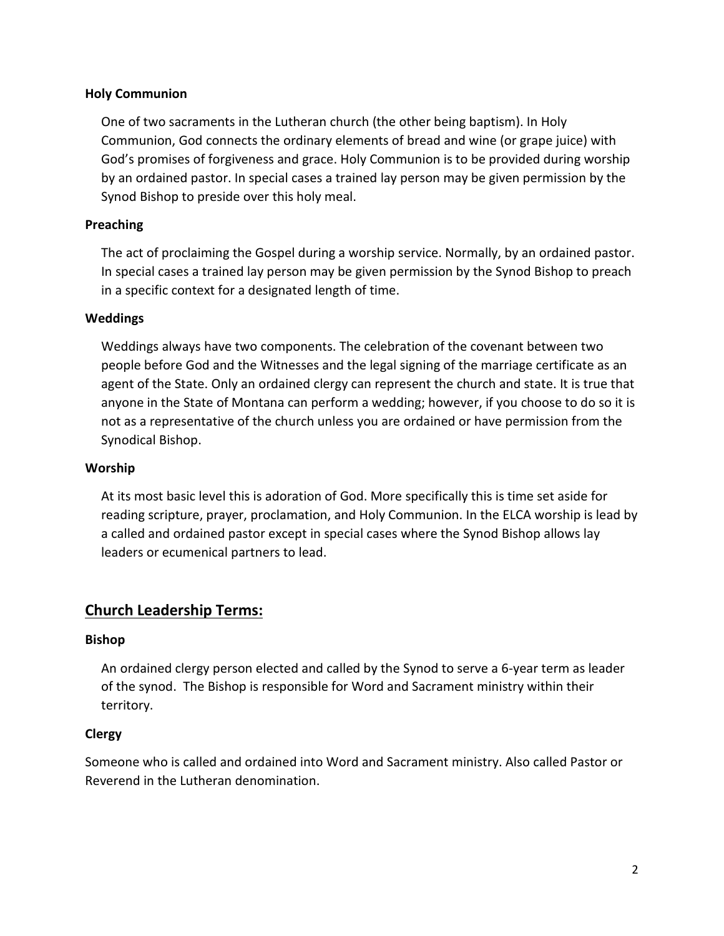## **Holy Communion**

One of two sacraments in the Lutheran church (the other being baptism). In Holy Communion, God connects the ordinary elements of bread and wine (or grape juice) with God's promises of forgiveness and grace. Holy Communion is to be provided during worship by an ordained pastor. In special cases a trained lay person may be given permission by the Synod Bishop to preside over this holy meal.

## **Preaching**

The act of proclaiming the Gospel during a worship service. Normally, by an ordained pastor. In special cases a trained lay person may be given permission by the Synod Bishop to preach in a specific context for a designated length of time.

### **Weddings**

Weddings always have two components. The celebration of the covenant between two people before God and the Witnesses and the legal signing of the marriage certificate as an agent of the State. Only an ordained clergy can represent the church and state. It is true that anyone in the State of Montana can perform a wedding; however, if you choose to do so it is not as a representative of the church unless you are ordained or have permission from the Synodical Bishop.

### **Worship**

At its most basic level this is adoration of God. More specifically this is time set aside for reading scripture, prayer, proclamation, and Holy Communion. In the ELCA worship is lead by a called and ordained pastor except in special cases where the Synod Bishop allows lay leaders or ecumenical partners to lead.

## **Church Leadership Terms:**

### **Bishop**

An ordained clergy person elected and called by the Synod to serve a 6-year term as leader of the synod. The Bishop is responsible for Word and Sacrament ministry within their territory.

### **Clergy**

Someone who is called and ordained into Word and Sacrament ministry. Also called Pastor or Reverend in the Lutheran denomination.